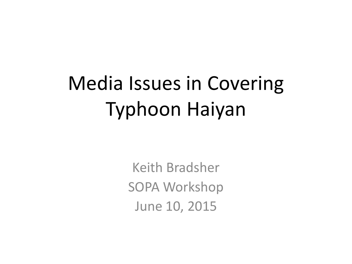# Media Issues in Covering Typhoon Haiyan

Keith Bradsher SOPA Workshop June 10, 2015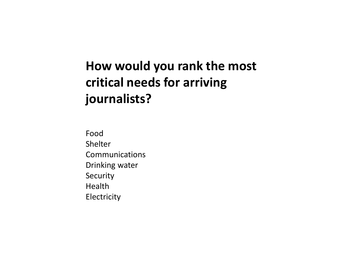### **How would you rank the most critical needs for arriving journalists?**

Food Shelter Communications Drinking water Security Health Electricity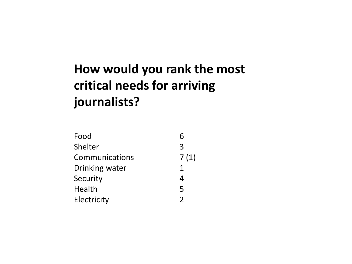## **How would you rank the most critical needs for arriving journalists?**

| Food           | 6             |
|----------------|---------------|
| Shelter        | 3             |
| Communications | 7(1)          |
| Drinking water | 1             |
| Security       | 4             |
| Health         | 5             |
| Electricity    | $\mathcal{P}$ |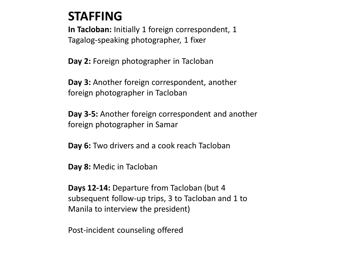#### **STAFFING**

**In Tacloban:** Initially 1 foreign correspondent, 1 Tagalog-speaking photographer, 1 fixer

**Day 2:** Foreign photographer in Tacloban

**Day 3:** Another foreign correspondent, another foreign photographer in Tacloban

**Day 3-5:** Another foreign correspondent and another foreign photographer in Samar

**Day 6:** Two drivers and a cook reach Tacloban

**Day 8:** Medic in Tacloban

**Days 12-14:** Departure from Tacloban (but 4 subsequent follow-up trips, 3 to Tacloban and 1 to Manila to interview the president)

Post-incident counseling offered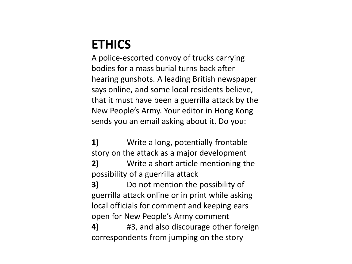#### **ETHICS**

A police-escorted convoy of trucks carrying bodies for a mass burial turns back after hearing gunshots. A leading British newspaper says online, and some local residents believe, that it must have been a guerrilla attack by the New People's Army. Your editor in Hong Kong sends you an email asking about it. Do you:

**1)** Write a long, potentially frontable story on the attack as a major development **2)** Write a short article mentioning the possibility of a guerrilla attack

**3)** Do not mention the possibility of guerrilla attack online or in print while asking local officials for comment and keeping ears open for New People's Army comment

**4)** #3, and also discourage other foreign correspondents from jumping on the story